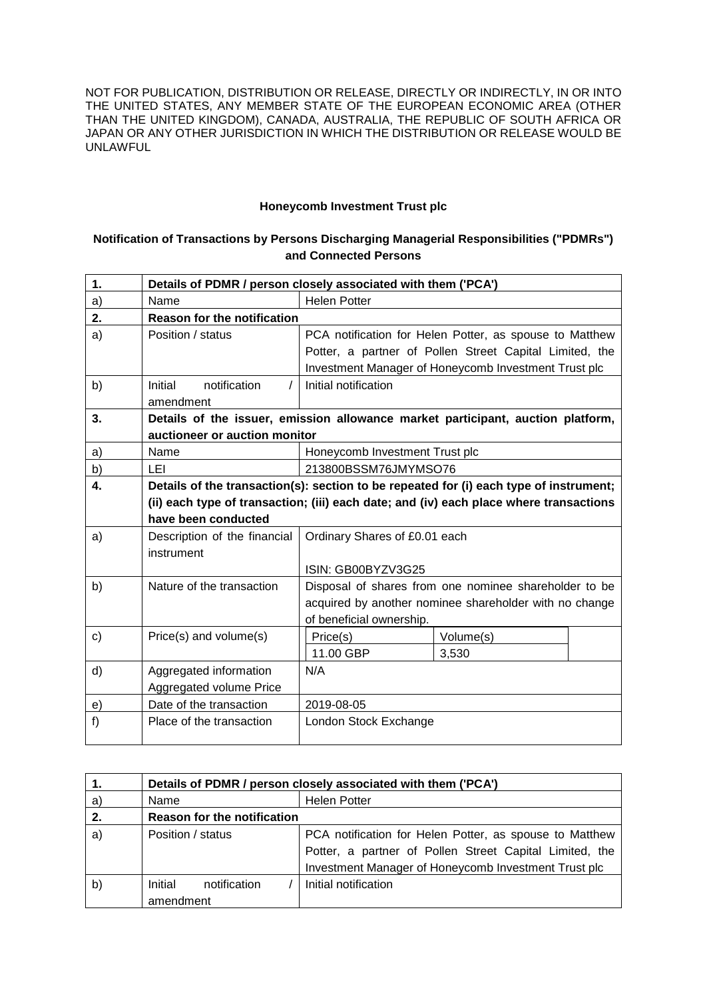NOT FOR PUBLICATION, DISTRIBUTION OR RELEASE, DIRECTLY OR INDIRECTLY, IN OR INTO THE UNITED STATES, ANY MEMBER STATE OF THE EUROPEAN ECONOMIC AREA (OTHER THAN THE UNITED KINGDOM), CANADA, AUSTRALIA, THE REPUBLIC OF SOUTH AFRICA OR JAPAN OR ANY OTHER JURISDICTION IN WHICH THE DISTRIBUTION OR RELEASE WOULD BE UNLAWFUL

## **Honeycomb Investment Trust plc**

## **Notification of Transactions by Persons Discharging Managerial Responsibilities ("PDMRs") and Connected Persons**

| 1. | Details of PDMR / person closely associated with them ('PCA')                          |                                                         |                                                         |  |  |  |  |
|----|----------------------------------------------------------------------------------------|---------------------------------------------------------|---------------------------------------------------------|--|--|--|--|
| a) | Name                                                                                   | <b>Helen Potter</b>                                     |                                                         |  |  |  |  |
| 2. | <b>Reason for the notification</b>                                                     |                                                         |                                                         |  |  |  |  |
| a) | Position / status                                                                      | PCA notification for Helen Potter, as spouse to Matthew |                                                         |  |  |  |  |
|    |                                                                                        |                                                         | Potter, a partner of Pollen Street Capital Limited, the |  |  |  |  |
|    |                                                                                        |                                                         | Investment Manager of Honeycomb Investment Trust plc    |  |  |  |  |
| b) | notification<br>Initial                                                                | Initial notification                                    |                                                         |  |  |  |  |
|    | amendment                                                                              |                                                         |                                                         |  |  |  |  |
| 3. | Details of the issuer, emission allowance market participant, auction platform,        |                                                         |                                                         |  |  |  |  |
|    | auctioneer or auction monitor                                                          |                                                         |                                                         |  |  |  |  |
| a) | Name                                                                                   | Honeycomb Investment Trust plc                          |                                                         |  |  |  |  |
| b) | LEI                                                                                    | 213800BSSM76JMYMSO76                                    |                                                         |  |  |  |  |
| 4. | Details of the transaction(s): section to be repeated for (i) each type of instrument; |                                                         |                                                         |  |  |  |  |
|    | (ii) each type of transaction; (iii) each date; and (iv) each place where transactions |                                                         |                                                         |  |  |  |  |
|    | have been conducted                                                                    |                                                         |                                                         |  |  |  |  |
| a) | Description of the financial                                                           | Ordinary Shares of £0.01 each                           |                                                         |  |  |  |  |
|    | instrument                                                                             |                                                         |                                                         |  |  |  |  |
|    |                                                                                        | ISIN: GB00BYZV3G25                                      |                                                         |  |  |  |  |
| b) | Nature of the transaction                                                              | Disposal of shares from one nominee shareholder to be   |                                                         |  |  |  |  |
|    |                                                                                        | acquired by another nominee shareholder with no change  |                                                         |  |  |  |  |
|    |                                                                                        | of beneficial ownership.                                |                                                         |  |  |  |  |
| c) | Price(s) and volume(s)                                                                 | Price(s)                                                | Volume(s)                                               |  |  |  |  |
|    |                                                                                        | 11.00 GBP                                               | 3,530                                                   |  |  |  |  |
| d) | Aggregated information                                                                 | N/A                                                     |                                                         |  |  |  |  |
|    | Aggregated volume Price                                                                |                                                         |                                                         |  |  |  |  |
| e) | Date of the transaction                                                                | 2019-08-05                                              |                                                         |  |  |  |  |
| f) | Place of the transaction                                                               | London Stock Exchange                                   |                                                         |  |  |  |  |
|    |                                                                                        |                                                         |                                                         |  |  |  |  |

| 1.           | Details of PDMR / person closely associated with them ('PCA') |                                                         |  |  |  |
|--------------|---------------------------------------------------------------|---------------------------------------------------------|--|--|--|
| a)           | Name                                                          | <b>Helen Potter</b>                                     |  |  |  |
| 2.           | <b>Reason for the notification</b>                            |                                                         |  |  |  |
| a)           | Position / status                                             | PCA notification for Helen Potter, as spouse to Matthew |  |  |  |
|              |                                                               | Potter, a partner of Pollen Street Capital Limited, the |  |  |  |
|              |                                                               | Investment Manager of Honeycomb Investment Trust plc    |  |  |  |
| $\mathsf{b}$ | Initial<br>notification                                       | Initial notification                                    |  |  |  |
|              | amendment                                                     |                                                         |  |  |  |